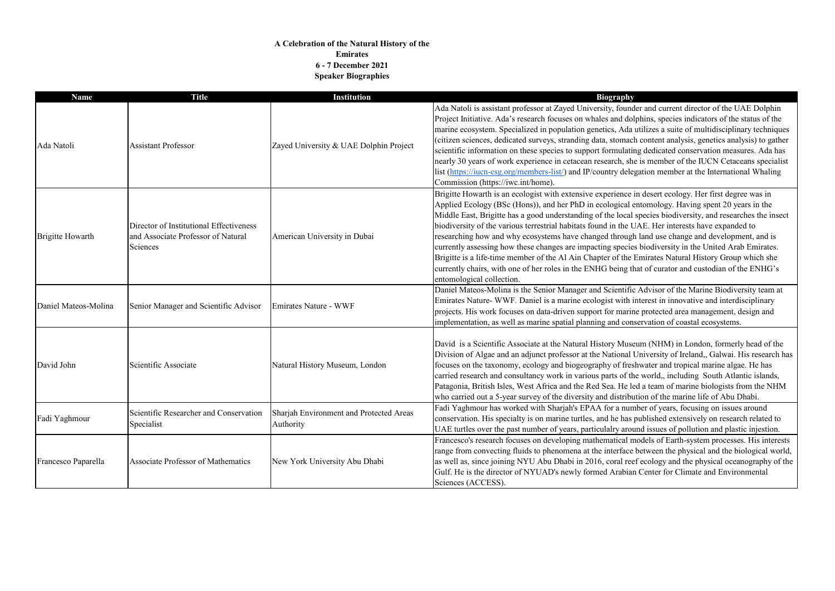## **A Celebration of the Natural History of the Emirates 6 - 7 December 2021 Speaker Biographies**

| <b>Name</b>             | <b>Title</b>                                                                              | <b>Institution</b>                                   | <b>Biography</b>                                                                                                                                                                                                                                                                                                                                                                                                                                                                                                                                    |
|-------------------------|-------------------------------------------------------------------------------------------|------------------------------------------------------|-----------------------------------------------------------------------------------------------------------------------------------------------------------------------------------------------------------------------------------------------------------------------------------------------------------------------------------------------------------------------------------------------------------------------------------------------------------------------------------------------------------------------------------------------------|
| Ada Natoli              | <b>Assistant Professor</b>                                                                | Zayed University & UAE Dolphin Project               | Ada Natoli is assistant professor at Zayed University, found<br>Project Initiative. Ada's research focuses on whales and dol<br>marine ecosystem. Specialized in population genetics, Ada<br>(citizen sciences, dedicated surveys, stranding data, stomach<br>scientific information on these species to support formulatir<br>nearly 30 years of work experience in cetacean research, she<br>list (https://iucn-csg.org/members-list/) and IP/country deleg<br>Commission (https://iwc.int/home).                                                 |
| <b>Brigitte Howarth</b> | Director of Institutional Effectiveness<br>and Associate Professor of Natural<br>Sciences | American University in Dubai                         | Brigitte Howarth is an ecologist with extensive experience i<br>Applied Ecology (BSc (Hons)), and her PhD in ecological e<br>Middle East, Brigitte has a good understanding of the local<br>biodiversity of the various terrestrial habitats found in the U<br>researching how and why ecosystems have changed through<br>currently assessing how these changes are impacting species<br>Brigitte is a life-time member of the Al Ain Chapter of the I<br>currently chairs, with one of her roles in the ENHG being th<br>entomological collection. |
| Daniel Mateos-Molina    | Senior Manager and Scientific Advisor                                                     | Emirates Nature - WWF                                | Daniel Mateos-Molina is the Senior Manager and Scientific<br>Emirates Nature- WWF. Daniel is a marine ecologist with in<br>projects. His work focuses on data-driven support for marin<br>implementation, as well as marine spatial planning and cons                                                                                                                                                                                                                                                                                               |
| David John              | Scientific Associate                                                                      | Natural History Museum, London                       | David is a Scientific Associate at the Natural History Muse<br>Division of Algae and an adjunct professor at the National U<br>focuses on the taxonomy, ecology and biogeography of fresl<br>carried research and consultancy work in various parts of th<br>Patagonia, British Isles, West Africa and the Red Sea. He le<br>who carried out a 5-year survey of the diversity and distribu                                                                                                                                                          |
| Fadi Yaghmour           | Scientific Researcher and Conservation<br>Specialist                                      | Sharjah Environment and Protected Areas<br>Authority | Fadi Yaghmour has worked with Sharjah's EPAA for a num<br>conservation. His specialty is on marine turtles, and he has p<br>UAE turtles over the past number of years, particulalry arou                                                                                                                                                                                                                                                                                                                                                            |
| Francesco Paparella     | <b>Associate Professor of Mathematics</b>                                                 | New York University Abu Dhabi                        | Francesco's research focuses on developing mathematical m<br>range from convecting fluids to phenomena at the interface<br>as well as, since joining NYU Abu Dhabi in 2016, coral ree<br>Gulf. He is the director of NYUAD's newly formed Arabian<br>Sciences (ACCESS).                                                                                                                                                                                                                                                                             |

Ader and current director of the UAE Dolphin lolphins, species indicators of the status of the la utilizes a suite of multidisciplinary techniques ach content analysis, genetics analysis) to gather ting dedicated conservation measures. Ada has he is member of the IUCN Cetaceans specialist legation member at the International Whaling

in desert ecology. Her first degree was in entomology. Having spent 20 years in the al species biodiversity, and researches the insect **UAE.** Her interests have expanded to regh land use change and development, and is ies biodiversity in the United Arab Emirates. Brighterian member of the History Group which she that of curator and custodian of the ENHG's

ic Advisor of the Marine Biodiversity team at interest in innovative and interdisciplinary ine protected area management, design and nservation of coastal ecosystems.

seum (NHM) in London, formerly head of the University of Ireland,, Galwai. His research has eshwater and tropical marine algae. He has the world,, including South Atlantic islands, led a team of marine biologists from the NHM bution of the marine life of Abu Dhabi. Imber of years, focusing on issues around published extensively on research related to bund issues of pollution and plastic injestion. models of Earth-system processes. His interests re between the physical and the biological world, eef ecology and the physical oceanography of the an Center for Climate and Environmental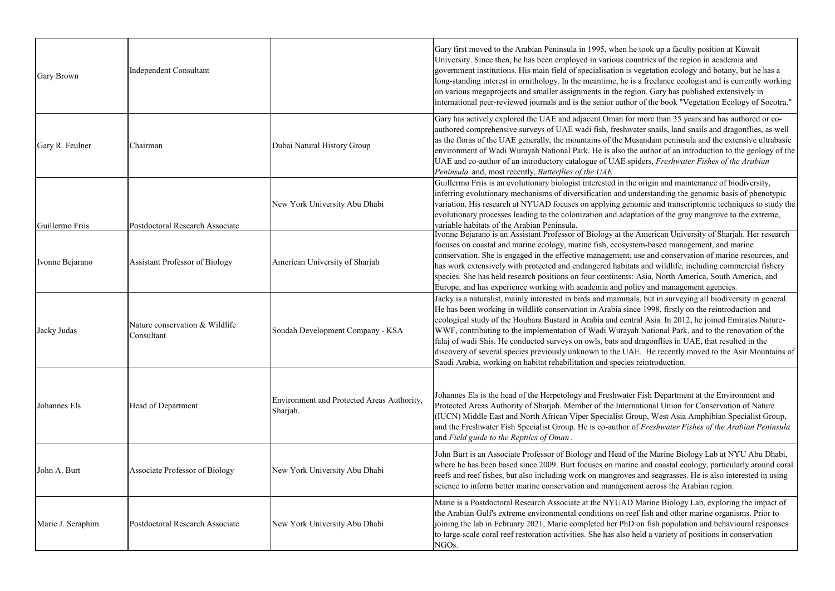| <b>Gary Brown</b> | Independent Consultant                       |                                                        | Gary first moved to the Arabian Peninsula in 1995, when<br>University. Since then, he has been employed in various o<br>government institutions. His main field of specialisation i<br>long-standing interest in ornithology. In the meantime, he<br>on various megaprojects and smaller assignments in the re<br>international peer-reviewed journals and is the senior auth                                                        |
|-------------------|----------------------------------------------|--------------------------------------------------------|--------------------------------------------------------------------------------------------------------------------------------------------------------------------------------------------------------------------------------------------------------------------------------------------------------------------------------------------------------------------------------------------------------------------------------------|
| Gary R. Feulner   | Chairman                                     | Dubai Natural History Group                            | Gary has actively explored the UAE and adjacent Oman f<br>authored comprehensive surveys of UAE wadi fish, fresh<br>as the floras of the UAE generally, the mountains of the N<br>environment of Wadi Wurayah National Park. He is also<br>UAE and co-author of an introductory catalogue of UAE<br>Peninsula and, most recently, Butterflies of the UAE.                                                                            |
| Guillermo Friis   | Postdoctoral Research Associate              | New York University Abu Dhabi                          | Guillermo Friis is an evolutionary biologist interested in t<br>inferring evolutionary mechanisms of diversification and<br>variation. His research at NYUAD focuses on applying ge<br>evolutionary processes leading to the colonization and ada<br>variable habitats of the Arabian Peninsula.                                                                                                                                     |
| Ivonne Bejarano   | <b>Assistant Professor of Biology</b>        | American University of Sharjah                         | Ivonne Bejarano is an Assistant Professor of Biology at th<br>focuses on coastal and marine ecology, marine fish, ecosy<br>conservation. She is engaged in the effective management<br>has work extensively with protected and endangered habit<br>species. She has held research positions on four continent<br>Europe, and has experience working with academia and p                                                              |
| Jacky Judas       | Nature conservation & Wildlife<br>Consultant | Soudah Development Company - KSA                       | Jacky is a naturalist, mainly interested in birds and mamn<br>He has been working in wildlife conservation in Arabia si<br>ecological study of the Houbara Bustard in Arabia and cen<br>WWF, contributing to the implementation of Wadi Wuray<br>falaj of wadi Shis. He conducted surveys on owls, bats an<br>discovery of several species previously unknown to the U<br>Saudi Arabia, working on habitat rehabilitation and speci- |
| Johannes Els      | Head of Department                           | Environment and Protected Areas Authority,<br>Sharjah. | Johannes Els is the head of the Herpetology and Freshwat<br>Protected Areas Authority of Sharjah. Member of the Inte<br>(IUCN) Middle East and North African Viper Specialist O<br>and the Freshwater Fish Specialist Group. He is co-author<br>and Field guide to the Reptiles of Oman.                                                                                                                                             |
| John A. Burt      | Associate Professor of Biology               | New York University Abu Dhabi                          | John Burt is an Associate Professor of Biology and Head<br>where he has been based since 2009. Burt focuses on mar<br>reefs and reef fishes, but also including work on mangrov<br>science to inform better marine conservation and manager                                                                                                                                                                                          |
| Marie J. Seraphim | Postdoctoral Research Associate              | New York University Abu Dhabi                          | Marie is a Postdoctoral Research Associate at the NYUAl<br>the Arabian Gulf's extreme environmental conditions on r<br>joining the lab in February 2021, Marie completed her Ph<br>to large-scale coral reef restoration activities. She has also<br>NGO <sub>s</sub> .                                                                                                                                                              |

he took up a faculty position at Kuwait countries of the region in academia and is vegetation ecology and botany, but he has a is a freelance ecologist and is currently working egion. Gary has published extensively in hor of the book "Vegetation Ecology of Socotra."

for more than 35 years and has authored or cowater snails, land snails and dragonflies, as well Musandam peninsula and the extensive ultrabasic the author of an introduction to the geology of the spiders, *Freshwater Fishes of the Arabian* 

the origin and maintenance of biodiversity, understanding the genomic basis of phenotypic enomic and transcriptomic techniques to study the aptation of the gray mangrove to the extreme,

Ivon American University of Sharjah. Her research stem-based management, and marine t, use and conservation of marine resources, and tats and wildlife, including commercial fishery ts: Asia, North America, South America, and olicy and management agencies.

nals, but in surveying all biodiversity in general. ince 1998, firstly on the reintroduction and ntral Asia. In 2012, he joined Emirates Natureyah National Park, and to the renovation of the d dragonflies in UAE, that resulted in the AE. He recently moved to the Asir Mountains of es reintroduction.

ter Fish Department at the Environment and ernational Union for Conservation of Nature Group, West Asia Amphibian Specialist Group, r of Freshwater Fishes of the Arabian Peninsula

of the Marine Biology Lab at NYU Abu Dhabi, rine and coastal ecology, particularly around coral res and seagrasses. He is also interested in using ment across the Arabian region.

D Marine Biology Lab, exploring the impact of reef fish and other marine organisms. Prior to ID on fish population and behavioural responses o held a variety of positions in conservation